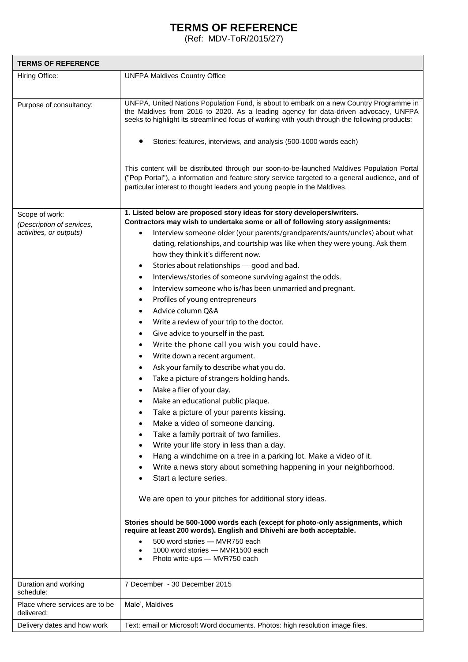## **TERMS OF REFERENCE**

(Ref: MDV-ToR/2015/27)

| <b>TERMS OF REFERENCE</b>                                              |                                                                                                                                                                                                                                                                                  |
|------------------------------------------------------------------------|----------------------------------------------------------------------------------------------------------------------------------------------------------------------------------------------------------------------------------------------------------------------------------|
| Hiring Office:                                                         | <b>UNFPA Maldives Country Office</b>                                                                                                                                                                                                                                             |
|                                                                        |                                                                                                                                                                                                                                                                                  |
| Purpose of consultancy:                                                | UNFPA, United Nations Population Fund, is about to embark on a new Country Programme in<br>the Maldives from 2016 to 2020. As a leading agency for data-driven advocacy, UNFPA<br>seeks to highlight its streamlined focus of working with youth through the following products: |
|                                                                        | Stories: features, interviews, and analysis (500-1000 words each)                                                                                                                                                                                                                |
|                                                                        | This content will be distributed through our soon-to-be-launched Maldives Population Portal<br>("Pop Portal"), a information and feature story service targeted to a general audience, and of<br>particular interest to thought leaders and young people in the Maldives.        |
| Scope of work:<br>(Description of services,<br>activities, or outputs) | 1. Listed below are proposed story ideas for story developers/writers.                                                                                                                                                                                                           |
|                                                                        | Contractors may wish to undertake some or all of following story assignments:                                                                                                                                                                                                    |
|                                                                        | Interview someone older (your parents/grandparents/aunts/uncles) about what                                                                                                                                                                                                      |
|                                                                        | dating, relationships, and courtship was like when they were young. Ask them                                                                                                                                                                                                     |
|                                                                        | how they think it's different now.                                                                                                                                                                                                                                               |
|                                                                        | Stories about relationships - good and bad.<br>$\bullet$                                                                                                                                                                                                                         |
|                                                                        | Interviews/stories of someone surviving against the odds.<br>٠                                                                                                                                                                                                                   |
|                                                                        | Interview someone who is/has been unmarried and pregnant.<br>٠                                                                                                                                                                                                                   |
|                                                                        | Profiles of young entrepreneurs<br>٠                                                                                                                                                                                                                                             |
|                                                                        | Advice column Q&A<br>$\bullet$                                                                                                                                                                                                                                                   |
|                                                                        | Write a review of your trip to the doctor.<br>$\bullet$                                                                                                                                                                                                                          |
|                                                                        | Give advice to yourself in the past.<br>٠                                                                                                                                                                                                                                        |
|                                                                        | Write the phone call you wish you could have.<br>$\bullet$                                                                                                                                                                                                                       |
|                                                                        | Write down a recent argument.<br>$\bullet$                                                                                                                                                                                                                                       |
|                                                                        | Ask your family to describe what you do.<br>$\bullet$                                                                                                                                                                                                                            |
|                                                                        | Take a picture of strangers holding hands.<br>٠                                                                                                                                                                                                                                  |
|                                                                        | Make a flier of your day.                                                                                                                                                                                                                                                        |
|                                                                        | Make an educational public plaque.<br>$\bullet$                                                                                                                                                                                                                                  |
|                                                                        | Take a picture of your parents kissing.                                                                                                                                                                                                                                          |
|                                                                        | Make a video of someone dancing.                                                                                                                                                                                                                                                 |
|                                                                        | Take a family portrait of two families.<br>$\bullet$                                                                                                                                                                                                                             |
|                                                                        | Write your life story in less than a day.<br>$\bullet$                                                                                                                                                                                                                           |
|                                                                        | Hang a windchime on a tree in a parking lot. Make a video of it.<br>٠                                                                                                                                                                                                            |
|                                                                        | Write a news story about something happening in your neighborhood.<br>٠                                                                                                                                                                                                          |
|                                                                        | Start a lecture series.                                                                                                                                                                                                                                                          |
|                                                                        | We are open to your pitches for additional story ideas.                                                                                                                                                                                                                          |
|                                                                        | Stories should be 500-1000 words each (except for photo-only assignments, which<br>require at least 200 words). English and Dhivehi are both acceptable.                                                                                                                         |
|                                                                        | 500 word stories - MVR750 each<br>1000 word stories - MVR1500 each<br>Photo write-ups - MVR750 each                                                                                                                                                                              |
| Duration and working<br>schedule:                                      | 7 December - 30 December 2015                                                                                                                                                                                                                                                    |
| Place where services are to be<br>delivered:                           | Male', Maldives                                                                                                                                                                                                                                                                  |
| Delivery dates and how work                                            | Text: email or Microsoft Word documents. Photos: high resolution image files.                                                                                                                                                                                                    |